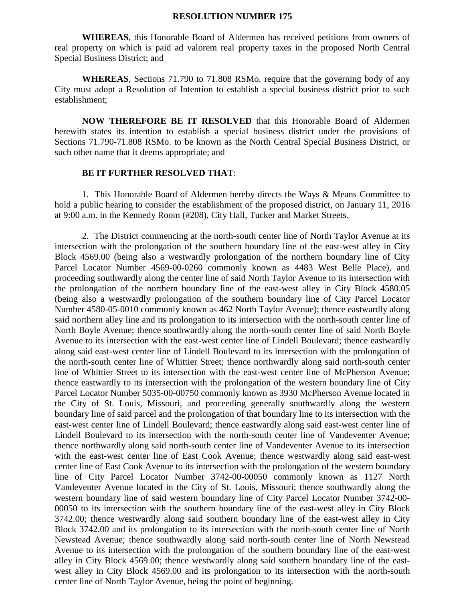## **RESOLUTION NUMBER 175**

**WHEREAS**, this Honorable Board of Aldermen has received petitions from owners of real property on which is paid ad valorem real property taxes in the proposed North Central Special Business District; and

**WHEREAS**, Sections 71.790 to 71.808 RSMo. require that the governing body of any City must adopt a Resolution of Intention to establish a special business district prior to such establishment;

**NOW THEREFORE BE IT RESOLVED** that this Honorable Board of Aldermen herewith states its intention to establish a special business district under the provisions of Sections 71.790-71.808 RSMo. to be known as the North Central Special Business District, or such other name that it deems appropriate; and

## **BE IT FURTHER RESOLVED THAT**:

1. This Honorable Board of Aldermen hereby directs the Ways & Means Committee to hold a public hearing to consider the establishment of the proposed district, on January 11, 2016 at 9:00 a.m. in the Kennedy Room (#208), City Hall, Tucker and Market Streets.

2. The District commencing at the north-south center line of North Taylor Avenue at its intersection with the prolongation of the southern boundary line of the east-west alley in City Block 4569.00 (being also a westwardly prolongation of the northern boundary line of City Parcel Locator Number 4569-00-0260 commonly known as 4483 West Belle Place), and proceeding southwardly along the center line of said North Taylor Avenue to its intersection with the prolongation of the northern boundary line of the east-west alley in City Block 4580.05 (being also a westwardly prolongation of the southern boundary line of City Parcel Locator Number 4580-05-0010 commonly known as 462 North Taylor Avenue); thence eastwardly along said northern alley line and its prolongation to its intersection with the north-south center line of North Boyle Avenue; thence southwardly along the north-south center line of said North Boyle Avenue to its intersection with the east-west center line of Lindell Boulevard; thence eastwardly along said east-west center line of Lindell Boulevard to its intersection with the prolongation of the north-south center line of Whittier Street; thence northwardly along said north-south center line of Whittier Street to its intersection with the east-west center line of McPherson Avenue; thence eastwardly to its intersection with the prolongation of the western boundary line of City Parcel Locator Number 5035-00-00750 commonly known as 3930 McPherson Avenue located in the City of St. Louis, Missouri, and proceeding generally southwardly along the western boundary line of said parcel and the prolongation of that boundary line to its intersection with the east-west center line of Lindell Boulevard; thence eastwardly along said east-west center line of Lindell Boulevard to its intersection with the north-south center line of Vandeventer Avenue; thence northwardly along said north-south center line of Vandeventer Avenue to its intersection with the east-west center line of East Cook Avenue; thence westwardly along said east-west center line of East Cook Avenue to its intersection with the prolongation of the western boundary line of City Parcel Locator Number 3742-00-00050 commonly known as 1127 North Vandeventer Avenue located in the City of St. Louis, Missouri; thence southwardly along the western boundary line of said western boundary line of City Parcel Locator Number 3742-00- 00050 to its intersection with the southern boundary line of the east-west alley in City Block 3742.00; thence westwardly along said southern boundary line of the east-west alley in City Block 3742.00 and its prolongation to its intersection with the north-south center line of North Newstead Avenue; thence southwardly along said north-south center line of North Newstead Avenue to its intersection with the prolongation of the southern boundary line of the east-west alley in City Block 4569.00; thence westwardly along said southern boundary line of the eastwest alley in City Block 4569.00 and its prolongation to its intersection with the north-south center line of North Taylor Avenue, being the point of beginning.